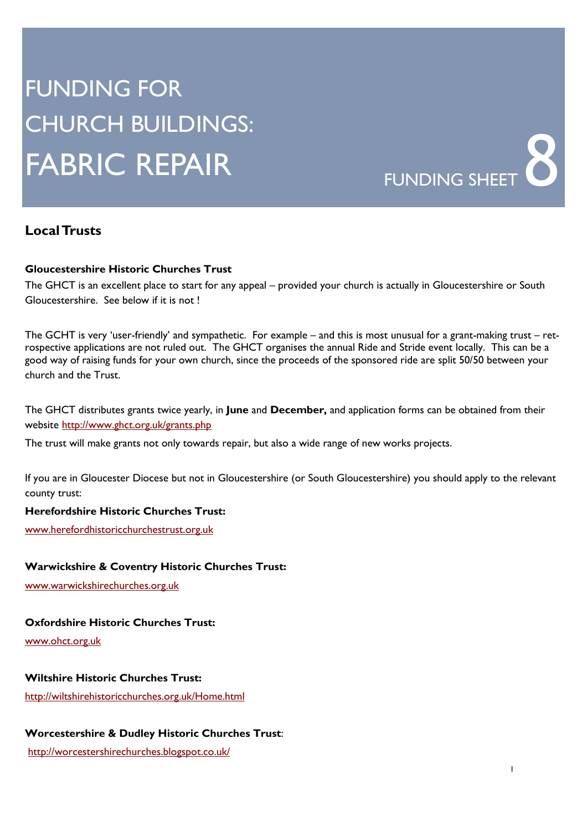# FUNDING FOR CHURCH BUILDINGS: FABRIC REPAIR FUNDING SHEET **8**



# **Local Trusts**

#### **Gloucestershire Historic Churches Trust**

The GHCT is an excellent place to start for any appeal – provided your church is actually in Gloucestershire or South Gloucestershire. See below if it is not !

The GCHT is very 'user-friendly' and sympathetic. For example – and this is most unusual for a grant-making trust – retrospective applications are not ruled out. The GHCT organises the annual Ride and Stride event locally. This can be a good way of raising funds for your own church, since the proceeds of the sponsored ride are split 50/50 between your church and the Trust.

The GHCT distributes grants twice yearly, in **June** and **December,** and application forms can be obtained from their website http://www.ghct.org.uk/grants.php

The trust will make grants not only towards repair, but also a wide range of new works projects.

If you are in Gloucester Diocese but not in Gloucestershire (or South Gloucestershire) you should apply to the relevant county trust:

#### **Herefordshire Historic Churches Trust:**

www.herefordhistoricchurchestrust.org.uk

#### **Warwickshire & Coventry Historic Churches Trust:**

www.warwickshirechurches.org.uk

#### **Oxfordshire Historic Churches Trust:**

www.ohct.org.uk

# **Wiltshire Historic Churches Trust:**

http://wiltshirehistoricchurches.org.uk/Home.html

#### **Worcestershire & Dudley Historic Churches Trust**:

http://worcestershirechurches.blogspot.co.uk/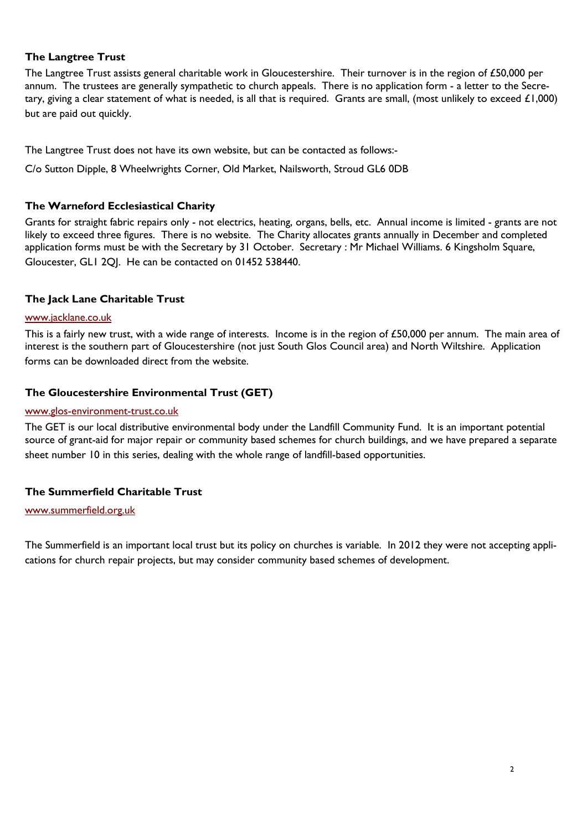# **The Langtree Trust**

The Langtree Trust assists general charitable work in Gloucestershire. Their turnover is in the region of £50,000 per annum. The trustees are generally sympathetic to church appeals. There is no application form - a letter to the Secretary, giving a clear statement of what is needed, is all that is required. Grants are small, (most unlikely to exceed £1,000) but are paid out quickly.

The Langtree Trust does not have its own website, but can be contacted as follows:-

C/o Sutton Dipple, 8 Wheelwrights Corner, Old Market, Nailsworth, Stroud GL6 0DB

# **The Warneford Ecclesiastical Charity**

Grants for straight fabric repairs only - not electrics, heating, organs, bells, etc. Annual income is limited - grants are not likely to exceed three figures. There is no website. The Charity allocates grants annually in December and completed application forms must be with the Secretary by 31 October. Secretary : Mr Michael Williams. 6 Kingsholm Square, Gloucester, GL1 2QJ. He can be contacted on 01452 538440.

# **The Jack Lane Charitable Trust**

#### www.jacklane.co.uk

This is a fairly new trust, with a wide range of interests. Income is in the region of £50,000 per annum. The main area of interest is the southern part of Gloucestershire (not just South Glos Council area) and North Wiltshire. Application forms can be downloaded direct from the website.

# **The Gloucestershire Environmental Trust (GET)**

#### www.glos-environment-trust.co.uk

The GET is our local distributive environmental body under the Landfill Community Fund. It is an important potential source of grant-aid for major repair or community based schemes for church buildings, and we have prepared a separate sheet number 10 in this series, dealing with the whole range of landfill-based opportunities.

# **The Summerfield Charitable Trust**

#### www.summerfield.org.uk

The Summerfield is an important local trust but its policy on churches is variable. In 2012 they were not accepting applications for church repair projects, but may consider community based schemes of development.